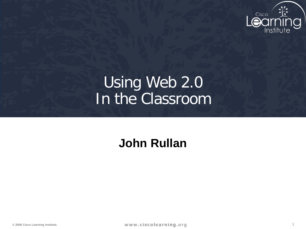

# Using Web 2.0 In the Classroom

#### **John Rullan**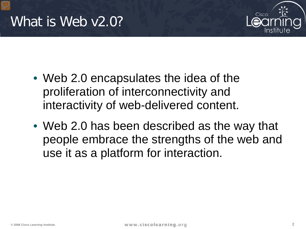

- Web 2.0 encapsulates the idea of the proliferation of interconnectivity and interactivity of web-delivered content.
- Web 2.0 has been described as the way that people embrace the strengths of the web and use it as a platform for interaction.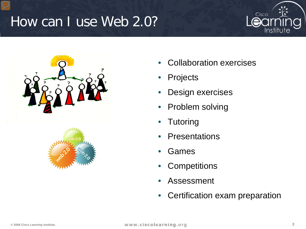# How can I use Web 2.0?







- Collaboration exercises
- **Projects**
- Design exercises
- Problem solving
- **Tutoring**
- Presentations
- Games
- **Competitions**
- **Assessment**
- Certification exam preparation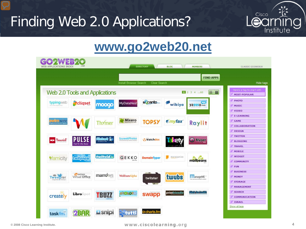# Finding Web 2.0 Applications?



#### www.go2web20.net

| net<br>WEB APPLICATIONS INDEX               | <b>BLOG</b><br><b>MEMBERS</b><br><b>DIRECTORY</b>                   | <b>CLASSIC GO2WEB20</b>                                                  |
|---------------------------------------------|---------------------------------------------------------------------|--------------------------------------------------------------------------|
|                                             | <b>FIND APPS</b><br>Install Browser Search<br>Clear Search          | Hide tags                                                                |
| Web 2.0 Tools and Applications              | $(\equiv / \text{III})$<br>2 3 4  60                                | Here's a tag to start with<br><b>MOST-POPULAR</b>                        |
| typingweb<br>Cliqset<br>moogo               | <b>M</b> canto<br><b>MyDataNest</b><br>wibiya<br>yasssu.com         | PHOTO<br><b>MUSIC</b><br><b>VIDEO</b>                                    |
| wimwire<br><b>Th</b> <i>mer</i>             | Mixero<br><b><i><u>emyfax</u></i></b><br><b>TOPSY</b><br>Raylit     | <b>E-LEARNING</b><br><b>GAME</b><br><b>COLLABORATION</b>                 |
| towist<br>Feel'in the buzz                  | EweelPhoto<br>watchdox<br><b>O</b> Blyper<br><b>Kei</b>             | <b>DESIGN</b><br>æ<br><b>TWITTER</b><br><b>BLOGGING</b><br><b>TRAVEL</b> |
| twitvid.io<br><b>afamicity</b><br>Gwilpeper | GEKKO<br>moreganize<br><b>DomainTyper</b><br>mailbeans              | <b>MOBILE</b><br><b>WIDGET</b><br><b>COMMUNITY</b>                       |
| Virtual Office<br>marrows<br>Tweepler       | twubs<br>WolframAlpha<br><b>II</b> anageME<br>twitster              | D<br><b>FUN</b><br><b>BUSINESS</b><br><b>MONEY</b><br><b>STORAGE</b>     |
| Librospot<br>TRUZ<br>creately               | <b>Altahuko Amafikk</b><br>printfriendly<br>swapp<br><b>CROLOR®</b> | <b>MANAGEMENT</b><br><b>SEARCH</b><br><b>COMMUNICATION</b>               |
| <b>2BAR</b><br><b>E</b> snipi<br>task fm    | @ charts.fm<br><b>Otutti</b>                                        | <b>ISRAEL</b><br>Show all tags                                           |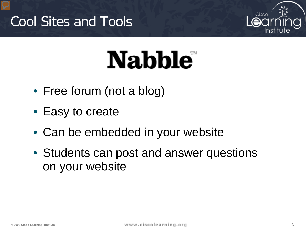# Cool Sites and Tools



# **Nabble**

- Free forum (not a blog)
- Easy to create
- Can be embedded in your website
- Students can post and answer questions on your website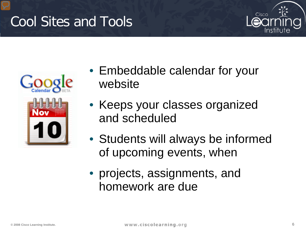# Cool Sites and Tools





- Embeddable calendar for your website
- Keeps your classes organized and scheduled
- Students will always be informed of upcoming events, when
- projects, assignments, and homework are due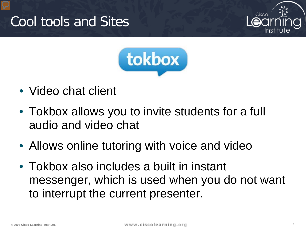



- Video chat client
- Tokbox allows you to invite students for a full audio and video chat
- Allows online tutoring with voice and video
- Tokbox also includes a built in instant messenger, which is used when you do not want to interrupt the current presenter.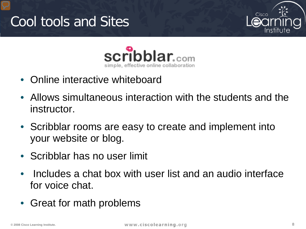





- Online interactive whiteboard
- Allows simultaneous interaction with the students and the instructor.
- Scribblar rooms are easy to create and implement into your website or blog.
- Scribblar has no user limit
- Includes a chat box with user list and an audio interface for voice chat.
- Great for math problems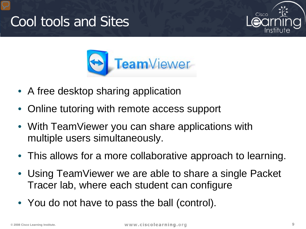



- A free desktop sharing application
- Online tutoring with remote access support
- With TeamViewer you can share applications with multiple users simultaneously.
- This allows for a more collaborative approach to learning.
- Using TeamViewer we are able to share a single Packet Tracer lab, where each student can configure
- You do not have to pass the ball (control).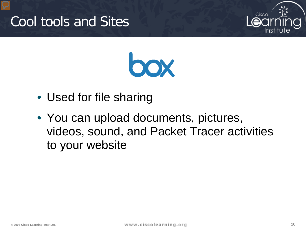



- Used for file sharing
- You can upload documents, pictures, videos, sound, and Packet Tracer activities to your website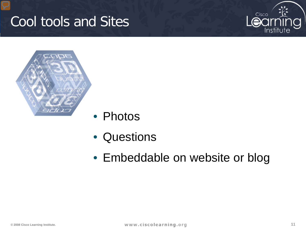



- Photos
- Questions
- Embeddable on website or blog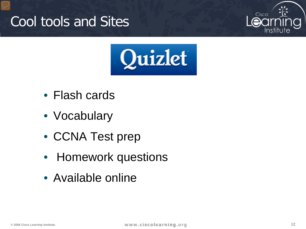



- Flash cards
- Vocabulary
- CCNA Test prep
- Homework questions
- Available online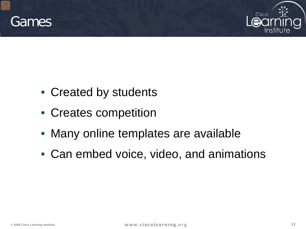



- Created by students
- Creates competition
- Many online templates are available
- Can embed voice, video, and animations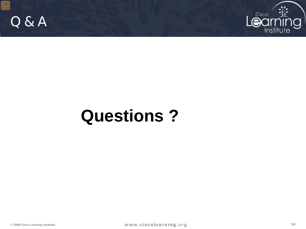



# **Questions ?**